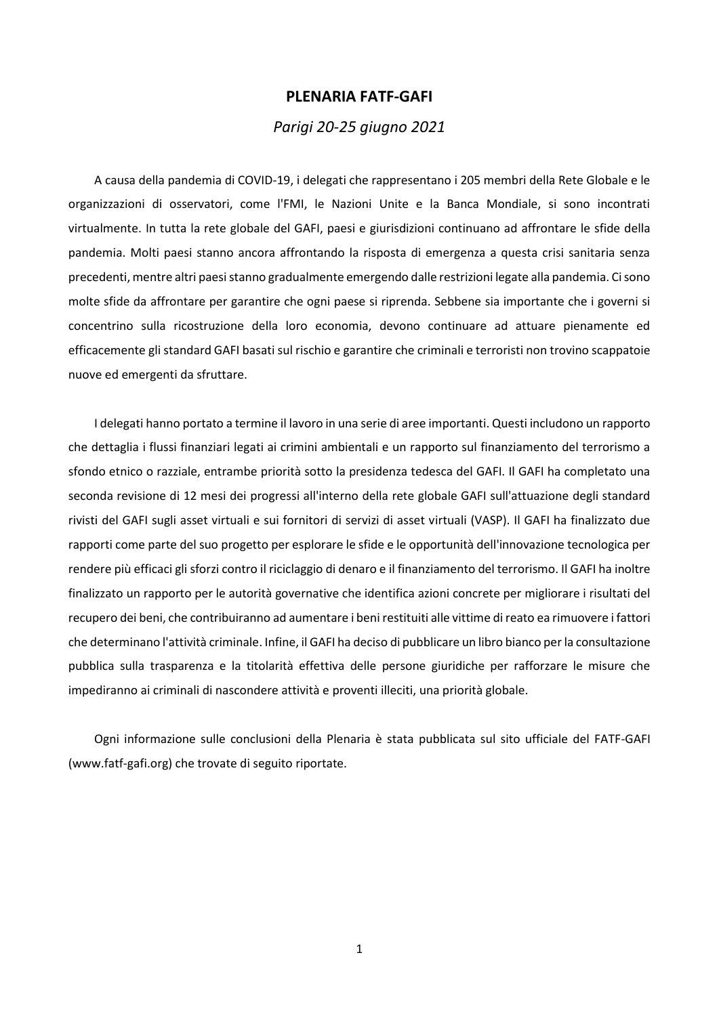#### **PLENARIA FATF-GAFI**

#### *Parigi 20-25 giugno 2021*

A causa della pandemia di COVID-19, i delegati che rappresentano i 205 membri della Rete Globale e le organizzazioni di osservatori, come l'FMI, le Nazioni Unite e la Banca Mondiale, si sono incontrati virtualmente. In tutta la rete globale del GAFI, paesi e giurisdizioni continuano ad affrontare le sfide della pandemia. Molti paesi stanno ancora affrontando la risposta di emergenza a questa crisi sanitaria senza precedenti, mentre altri paesi stanno gradualmente emergendo dalle restrizioni legate alla pandemia. Ci sono molte sfide da affrontare per garantire che ogni paese si riprenda. Sebbene sia importante che i governi si concentrino sulla ricostruzione della loro economia, devono continuare ad attuare pienamente ed efficacemente gli standard GAFI basati sul rischio e garantire che criminali e terroristi non trovino scappatoie nuove ed emergenti da sfruttare.

I delegati hanno portato a termine il lavoro in una serie di aree importanti. Questi includono un rapporto che dettaglia i flussi finanziari legati ai crimini ambientali e un rapporto sul finanziamento del terrorismo a sfondo etnico o razziale, entrambe priorità sotto la presidenza tedesca del GAFI. Il GAFI ha completato una seconda revisione di 12 mesi dei progressi all'interno della rete globale GAFI sull'attuazione degli standard rivisti del GAFI sugli asset virtuali e sui fornitori di servizi di asset virtuali (VASP). Il GAFI ha finalizzato due rapporti come parte del suo progetto per esplorare le sfide e le opportunità dell'innovazione tecnologica per rendere più efficaci gli sforzi contro il riciclaggio di denaro e il finanziamento del terrorismo. Il GAFI ha inoltre finalizzato un rapporto per le autorità governative che identifica azioni concrete per migliorare i risultati del recupero dei beni, che contribuiranno ad aumentare i beni restituiti alle vittime di reato ea rimuovere i fattori che determinano l'attività criminale. Infine, il GAFI ha deciso di pubblicare un libro bianco per la consultazione pubblica sulla trasparenza e la titolarità effettiva delle persone giuridiche per rafforzare le misure che impediranno ai criminali di nascondere attività e proventi illeciti, una priorità globale.

Ogni informazione sulle conclusioni della Plenaria è stata pubblicata sul sito ufficiale del FATF-GAFI (www.fatf-gafi.org) che trovate di seguito riportate.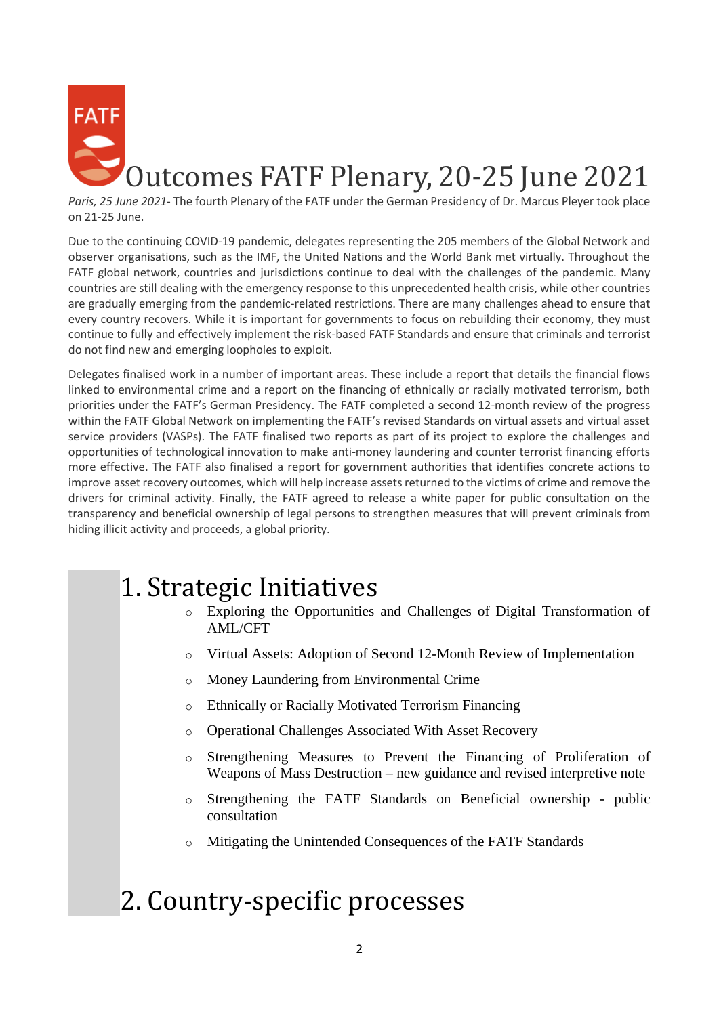

*Paris, 25 June 2021*- The fourth Plenary of the FATF under the German Presidency of Dr. Marcus Pleyer took place on 21-25 June.

Due to the continuing COVID-19 pandemic, delegates representing the 205 members of the Global Network and observer organisations, such as the IMF, the United Nations and the World Bank met virtually. Throughout the FATF global network, countries and jurisdictions continue to deal with the challenges of the pandemic. Many countries are still dealing with the emergency response to this unprecedented health crisis, while other countries are gradually emerging from the pandemic-related restrictions. There are many challenges ahead to ensure that every country recovers. While it is important for governments to focus on rebuilding their economy, they must continue to fully and effectively implement the risk-based FATF Standards and ensure that criminals and terrorist do not find new and emerging loopholes to exploit.

Delegates finalised work in a number of important areas. These include a report that details the financial flows linked to environmental crime and a report on the financing of ethnically or racially motivated terrorism, both priorities under the FATF's German Presidency. The FATF completed a second 12-month review of the progress within the FATF Global Network on implementing the FATF's revised Standards on virtual assets and virtual asset service providers (VASPs). The FATF finalised two reports as part of its project to explore the challenges and opportunities of technological innovation to make anti-money laundering and counter terrorist financing efforts more effective. The FATF also finalised a report for government authorities that identifies concrete actions to improve asset recovery outcomes, which will help increase assets returned to the victims of crime and remove the drivers for criminal activity. Finally, the FATF agreed to release a white paper for public consultation on the transparency and beneficial ownership of legal persons to strengthen measures that will prevent criminals from hiding illicit activity and proceeds, a global priority.

# 1. Strategic Initiatives

- o Exploring the Opportunities and Challenges of Digital Transformation of AML/CFT
- o Virtual Assets: Adoption of Second 12-Month Review of Implementation
- o Money Laundering from Environmental Crime
- o Ethnically or Racially Motivated Terrorism Financing
- o Operational Challenges Associated With Asset Recovery
- o Strengthening Measures to Prevent the Financing of Proliferation of Weapons of Mass Destruction – new guidance and revised interpretive note
- o Strengthening the FATF Standards on Beneficial ownership public consultation
- o Mitigating the Unintended Consequences of the FATF Standards
- 2. Country-specific processes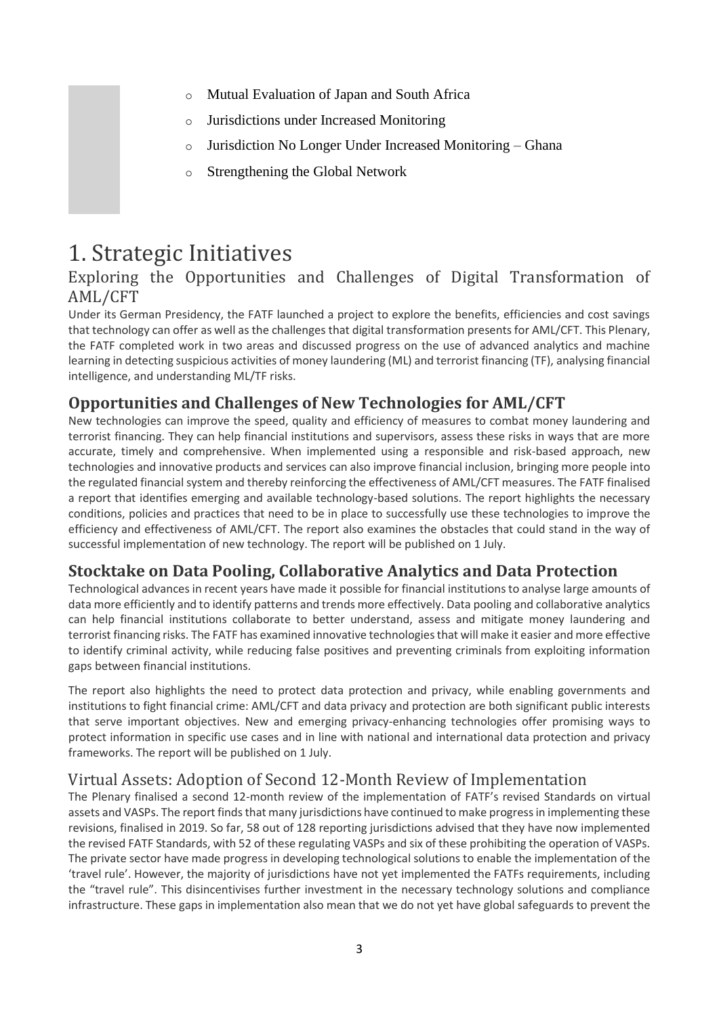- o Mutual Evaluation of Japan and South Africa
- o Jurisdictions under Increased Monitoring
- o Jurisdiction No Longer Under Increased Monitoring Ghana
- o Strengthening the Global Network

# 1. Strategic Initiatives

# Exploring the Opportunities and Challenges of Digital Transformation of AML/CFT

Under its German Presidency, the FATF launched a project to explore the benefits, efficiencies and cost savings that technology can offer as well as the challenges that digital transformation presents for AML/CFT. This Plenary, the FATF completed work in two areas and discussed progress on the use of advanced analytics and machine learning in detecting suspicious activities of money laundering (ML) and terrorist financing (TF), analysing financial intelligence, and understanding ML/TF risks.

# **Opportunities and Challenges of New Technologies for AML/CFT**

New technologies can improve the speed, quality and efficiency of measures to combat money laundering and terrorist financing. They can help financial institutions and supervisors, assess these risks in ways that are more accurate, timely and comprehensive. When implemented using a responsible and risk-based approach, new technologies and innovative products and services can also improve financial inclusion, bringing more people into the regulated financial system and thereby reinforcing the effectiveness of AML/CFT measures. The FATF finalised a report that identifies emerging and available technology-based solutions. The report highlights the necessary conditions, policies and practices that need to be in place to successfully use these technologies to improve the efficiency and effectiveness of AML/CFT. The report also examines the obstacles that could stand in the way of successful implementation of new technology. The report will be published on 1 July.

# **Stocktake on Data Pooling, Collaborative Analytics and Data Protection**

Technological advances in recent years have made it possible for financial institutions to analyse large amounts of data more efficiently and to identify patterns and trends more effectively. Data pooling and collaborative analytics can help financial institutions collaborate to better understand, assess and mitigate money laundering and terrorist financing risks. The FATF has examined innovative technologies that will make it easier and more effective to identify criminal activity, while reducing false positives and preventing criminals from exploiting information gaps between financial institutions.

The report also highlights the need to protect data protection and privacy, while enabling governments and institutions to fight financial crime: AML/CFT and data privacy and protection are both significant public interests that serve important objectives. New and emerging privacy-enhancing technologies offer promising ways to protect information in specific use cases and in line with national and international data protection and privacy frameworks. The report will be published on 1 July.

# Virtual Assets: Adoption of Second 12-Month Review of Implementation

The Plenary finalised a second 12-month review of the implementation of FATF's revised Standards on virtual assets and VASPs. The report finds that many jurisdictions have continued to make progress in implementing these revisions, finalised in 2019. So far, 58 out of 128 reporting jurisdictions advised that they have now implemented the revised FATF Standards, with 52 of these regulating VASPs and six of these prohibiting the operation of VASPs. The private sector have made progress in developing technological solutions to enable the implementation of the 'travel rule'. However, the majority of jurisdictions have not yet implemented the FATFs requirements, including the "travel rule". This disincentivises further investment in the necessary technology solutions and compliance infrastructure. These gaps in implementation also mean that we do not yet have global safeguards to prevent the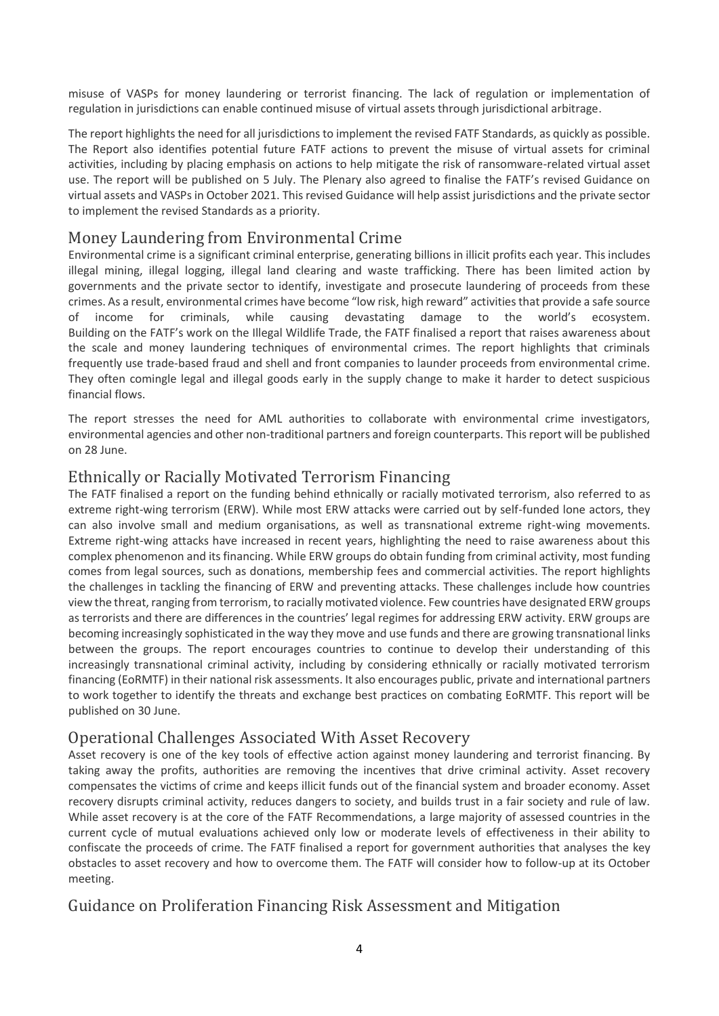misuse of VASPs for money laundering or terrorist financing. The lack of regulation or implementation of regulation in jurisdictions can enable continued misuse of virtual assets through jurisdictional arbitrage.

The report highlights the need for all jurisdictions to implement the revised FATF Standards, as quickly as possible. The Report also identifies potential future FATF actions to prevent the misuse of virtual assets for criminal activities, including by placing emphasis on actions to help mitigate the risk of ransomware-related virtual asset use. The report will be published on 5 July. The Plenary also agreed to finalise the FATF's revised Guidance on virtual assets and VASPs in October 2021. This revised Guidance will help assist jurisdictions and the private sector to implement the revised Standards as a priority.

#### Money Laundering from Environmental Crime

Environmental crime is a significant criminal enterprise, generating billions in illicit profits each year. This includes illegal mining, illegal logging, illegal land clearing and waste trafficking. There has been limited action by governments and the private sector to identify, investigate and prosecute laundering of proceeds from these crimes. As a result, environmental crimes have become "low risk, high reward" activities that provide a safe source of income for criminals, while causing devastating damage to the world's ecosystem. Building on the FATF's work on the Illegal Wildlife Trade, the FATF finalised a report that raises awareness about the scale and money laundering techniques of environmental crimes. The report highlights that criminals frequently use trade-based fraud and shell and front companies to launder proceeds from environmental crime. They often comingle legal and illegal goods early in the supply change to make it harder to detect suspicious financial flows.

The report stresses the need for AML authorities to collaborate with environmental crime investigators, environmental agencies and other non-traditional partners and foreign counterparts. This report will be published on 28 June.

### Ethnically or Racially Motivated Terrorism Financing

The FATF finalised a report on the funding behind ethnically or racially motivated terrorism, also referred to as extreme right-wing terrorism (ERW). While most ERW attacks were carried out by self-funded lone actors, they can also involve small and medium organisations, as well as transnational extreme right-wing movements. Extreme right-wing attacks have increased in recent years, highlighting the need to raise awareness about this complex phenomenon and its financing. While ERW groups do obtain funding from criminal activity, most funding comes from legal sources, such as donations, membership fees and commercial activities. The report highlights the challenges in tackling the financing of ERW and preventing attacks. These challenges include how countries view the threat, ranging from terrorism, to racially motivated violence. Few countries have designated ERW groups as terrorists and there are differences in the countries' legal regimes for addressing ERW activity. ERW groups are becoming increasingly sophisticated in the way they move and use funds and there are growing transnational links between the groups. The report encourages countries to continue to develop their understanding of this increasingly transnational criminal activity, including by considering ethnically or racially motivated terrorism financing (EoRMTF) in their national risk assessments. It also encourages public, private and international partners to work together to identify the threats and exchange best practices on combating EoRMTF. This report will be published on 30 June.

#### Operational Challenges Associated With Asset Recovery

Asset recovery is one of the key tools of effective action against money laundering and terrorist financing. By taking away the profits, authorities are removing the incentives that drive criminal activity. Asset recovery compensates the victims of crime and keeps illicit funds out of the financial system and broader economy. Asset recovery disrupts criminal activity, reduces dangers to society, and builds trust in a fair society and rule of law. While asset recovery is at the core of the FATF Recommendations, a large majority of assessed countries in the current cycle of mutual evaluations achieved only low or moderate levels of effectiveness in their ability to confiscate the proceeds of crime. The FATF finalised a report for government authorities that analyses the key obstacles to asset recovery and how to overcome them. The FATF will consider how to follow-up at its October meeting.

# Guidance on Proliferation Financing Risk Assessment and Mitigation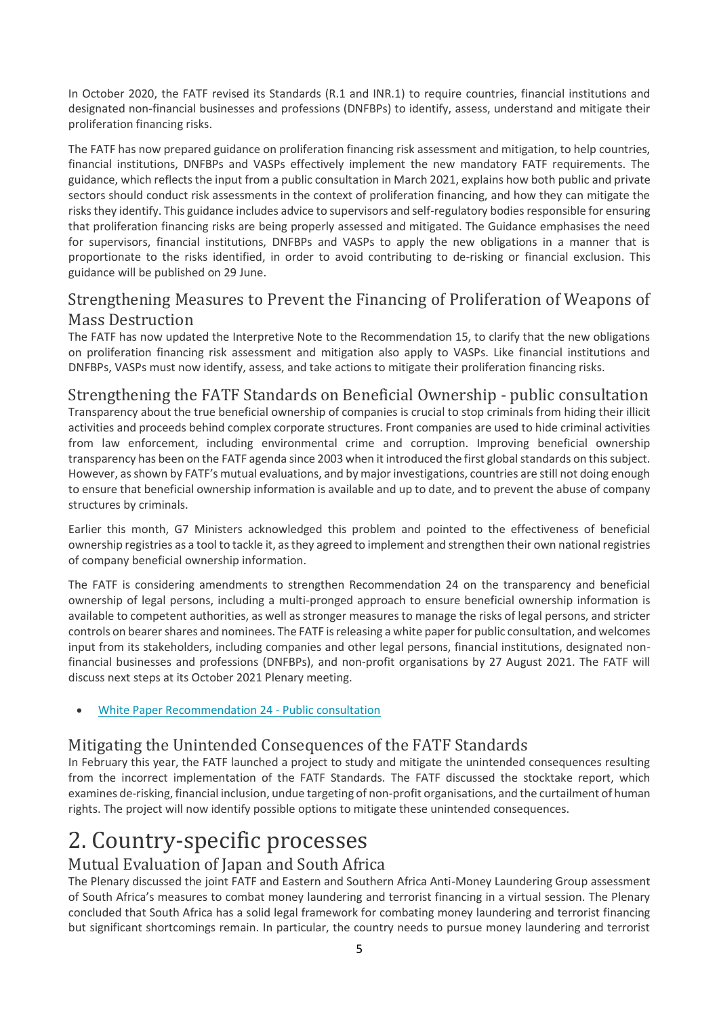In October 2020, the FATF revised its Standards (R.1 and INR.1) to require countries, financial institutions and designated non-financial businesses and professions (DNFBPs) to identify, assess, understand and mitigate their proliferation financing risks.

The FATF has now prepared guidance on proliferation financing risk assessment and mitigation, to help countries, financial institutions, DNFBPs and VASPs effectively implement the new mandatory FATF requirements. The guidance, which reflects the input from a public consultation in March 2021, explains how both public and private sectors should conduct risk assessments in the context of proliferation financing, and how they can mitigate the risks they identify. This guidance includes advice to supervisors and self-regulatory bodies responsible for ensuring that proliferation financing risks are being properly assessed and mitigated. The Guidance emphasises the need for supervisors, financial institutions, DNFBPs and VASPs to apply the new obligations in a manner that is proportionate to the risks identified, in order to avoid contributing to de-risking or financial exclusion. This guidance will be published on 29 June.

# Strengthening Measures to Prevent the Financing of Proliferation of Weapons of Mass Destruction

The FATF has now updated the Interpretive Note to the Recommendation 15, to clarify that the new obligations on proliferation financing risk assessment and mitigation also apply to VASPs. Like financial institutions and DNFBPs, VASPs must now identify, assess, and take actions to mitigate their proliferation financing risks.

# Strengthening the FATF Standards on Beneficial Ownership - public consultation

Transparency about the true beneficial ownership of companies is crucial to stop criminals from hiding their illicit activities and proceeds behind complex corporate structures. Front companies are used to hide criminal activities from law enforcement, including environmental crime and corruption. Improving beneficial ownership transparency has been on the FATF agenda since 2003 when it introduced the first global standards on this subject. However, as shown by FATF's mutual evaluations, and by major investigations, countries are still not doing enough to ensure that beneficial ownership information is available and up to date, and to prevent the abuse of company structures by criminals.

Earlier this month, G7 Ministers acknowledged this problem and pointed to the effectiveness of beneficial ownership registries as a tool to tackle it, as they agreed to implement and strengthen their own national registries of company beneficial ownership information.

The FATF is considering amendments to strengthen Recommendation 24 on the transparency and beneficial ownership of legal persons, including a multi-pronged approach to ensure beneficial ownership information is available to competent authorities, as well as stronger measures to manage the risks of legal persons, and stricter controls on bearer shares and nominees. The FATF is releasing a white paper for public consultation, and welcomes input from its stakeholders, including companies and other legal persons, financial institutions, designated nonfinancial businesses and professions (DNFBPs), and non-profit organisations by 27 August 2021. The FATF will discuss next steps at its October 2021 Plenary meeting.

• [White Paper Recommendation 24 -](https://www.fatf-gafi.org/publications/fatfrecommendations/documents/white-paper-r24.html) Public consultation

# Mitigating the Unintended Consequences of the FATF Standards

In February this year, the FATF launched a project to study and mitigate the unintended consequences resulting from the incorrect implementation of the FATF Standards. The FATF discussed the stocktake report, which examines de-risking, financial inclusion, undue targeting of non-profit organisations, and the curtailment of human rights. The project will now identify possible options to mitigate these unintended consequences.

# 2. Country-specific processes

# Mutual Evaluation of Japan and South Africa

The Plenary discussed the joint FATF and Eastern and Southern Africa Anti-Money Laundering Group assessment of South Africa's measures to combat money laundering and terrorist financing in a virtual session. The Plenary concluded that South Africa has a solid legal framework for combating money laundering and terrorist financing but significant shortcomings remain. In particular, the country needs to pursue money laundering and terrorist